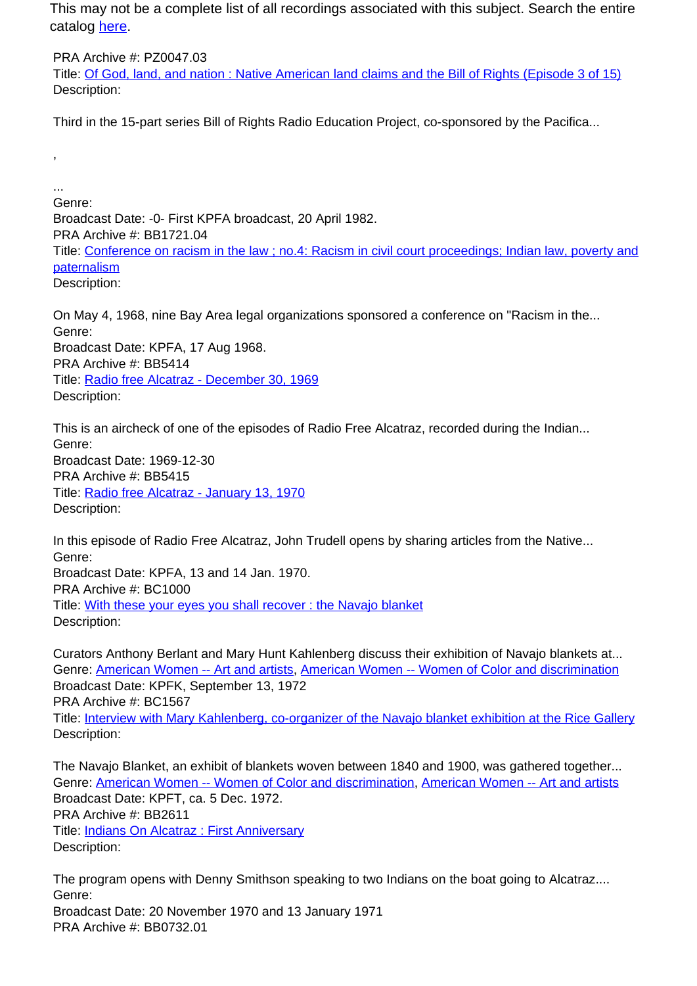This may not be a complete list of all recordings associated with this subject. Search the entire catalog [here.](http://pacificaradioarchives.org/keyword-search)

PRA Archive #: PZ0047.03 Title: Of God, land, and nation : Native American land claims and the Bill of Rights (Episode 3 of 15) Description:

Third in the 15-part series Bill of Rights Radio Education Project, co-sponsored by the Pacifica...

,

... Genre: Broadcast Date: -0- First KPFA broadcast, 20 April 1982. PRA Archive #: BB1721.04 Title: Conference on racism in the law ; no.4: Racism in civil court proceedings; Indian law, poverty and **paternalism** Description:

On May 4, 1968, nine Bay Area legal organizations sponsored a conference on "Racism in the... Genre: Broadcast Date: KPFA, 17 Aug 1968. PRA Archive #: BB5414 Title: Radio free Alcatraz - December 30, 1969 Description:

This is an aircheck of one of the episodes of Radio Free Alcatraz, recorded during the Indian... Genre: Broadcast Date: 1969-12-30 PRA Archive #: BB5415 Title: Radio free Alcatraz - January 13, 1970 Description:

In this episode of Radio Free Alcatraz, John Trudell opens by sharing articles from the Native... Genre: Broadcast Date: KPFA, 13 and 14 Jan. 1970. PRA Archive #: BC1000 Title: With these your eyes you shall recover : the Navajo blanket Description:

Curators Anthony Berlant and Mary Hunt Kahlenberg discuss their exhibition of Navajo blankets at... Genre: American Women -- Art and artists, American Women -- Women of Color and discrimination Broadcast Date: KPFK, September 13, 1972 PRA Archive #: BC1567 Title: Interview with Mary Kahlenberg, co-organizer of the Navajo blanket exhibition at the Rice Gallery Description:

The Navajo Blanket, an exhibit of blankets woven between 1840 and 1900, was gathered together... Genre: American Women -- Women of Color and discrimination, American Women -- Art and artists Broadcast Date: KPFT, ca. 5 Dec. 1972. PRA Archive #: BB2611 Title: Indians On Alcatraz : First Anniversary Description:

The program opens with Denny Smithson speaking to two Indians on the boat going to Alcatraz.... Genre: Broadcast Date: 20 November 1970 and 13 January 1971 PRA Archive #: BB0732.01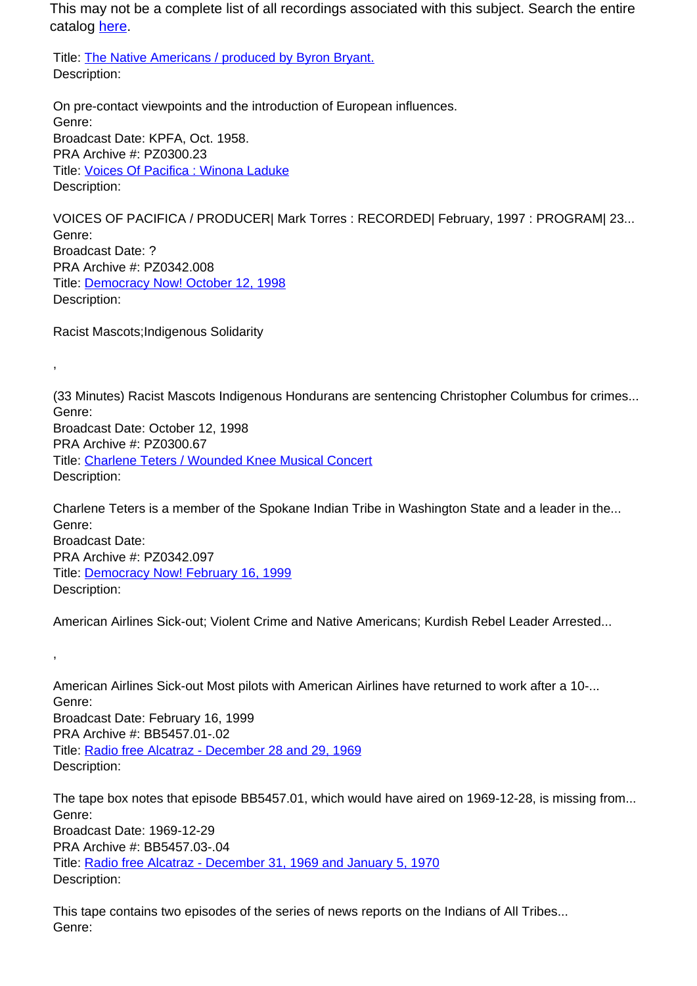This may not be a complete list of all recordings associated with this subject. Search the entire catalog here.

Title: The Native Americans / produced by Byron Bryant. Description:

On pre-contact viewpoints and the introduction of European influences. Genre: Broadcast Date: KPFA, Oct. 1958. PRA Archive #: PZ0300.23 Title: Voices Of Pacifica : Winona Laduke Description:

VOICES OF PACIFICA / PRODUCER| Mark Torres : RECORDED| February, 1997 : PROGRAM| 23... Genre: Broadcast Date: ? PRA Archive #: PZ0342.008 Title: Democracy Now! October 12, 1998 Description:

Racist Mascots;Indigenous Solidarity

,

,

(33 Minutes) Racist Mascots Indigenous Hondurans are sentencing Christopher Columbus for crimes... Genre: Broadcast Date: October 12, 1998 PRA Archive #: PZ0300.67 Title: Charlene Teters / Wounded Knee Musical Concert Description:

Charlene Teters is a member of the Spokane Indian Tribe in Washington State and a leader in the... Genre: Broadcast Date: PRA Archive #: PZ0342.097 Title: Democracy Now! February 16, 1999 Description:

American Airlines Sick-out; Violent Crime and Native Americans; Kurdish Rebel Leader Arrested...

American Airlines Sick-out Most pilots with American Airlines have returned to work after a 10-... Genre: Broadcast Date: February 16, 1999 PRA Archive #: BB5457.01-.02 Title: Radio free Alcatraz - December 28 and 29, 1969 Description:

The tape box notes that episode BB5457.01, which would have aired on 1969-12-28, is missing from... Genre: Broadcast Date: 1969-12-29 PRA Archive #: BB5457.03-.04 Title: Radio free Alcatraz - December 31, 1969 and January 5, 1970 Description:

This tape contains two episodes of the series of news reports on the Indians of All Tribes... Genre: